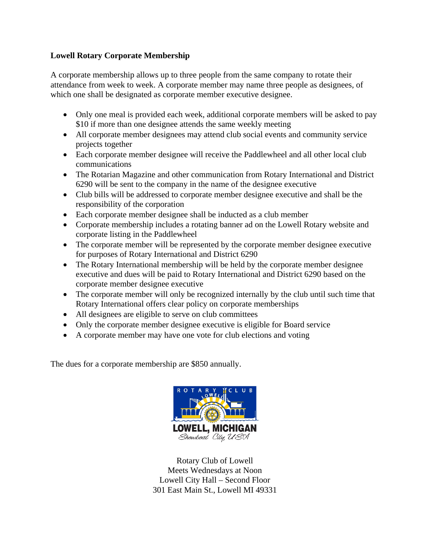## **Lowell Rotary Corporate Membership**

A corporate membership allows up to three people from the same company to rotate their attendance from week to week. A corporate member may name three people as designees, of which one shall be designated as corporate member executive designee.

- Only one meal is provided each week, additional corporate members will be asked to pay \$10 if more than one designee attends the same weekly meeting
- All corporate member designees may attend club social events and community service projects together
- Each corporate member designee will receive the Paddlewheel and all other local club communications
- The Rotarian Magazine and other communication from Rotary International and District 6290 will be sent to the company in the name of the designee executive
- Club bills will be addressed to corporate member designee executive and shall be the responsibility of the corporation
- Each corporate member designee shall be inducted as a club member
- Corporate membership includes a rotating banner ad on the Lowell Rotary website and corporate listing in the Paddlewheel
- The corporate member will be represented by the corporate member designee executive for purposes of Rotary International and District 6290
- The Rotary International membership will be held by the corporate member designee executive and dues will be paid to Rotary International and District 6290 based on the corporate member designee executive
- The corporate member will only be recognized internally by the club until such time that Rotary International offers clear policy on corporate memberships
- All designees are eligible to serve on club committees
- Only the corporate member designee executive is eligible for Board service
- A corporate member may have one vote for club elections and voting

The dues for a corporate membership are \$850 annually.



Rotary Club of Lowell Meets Wednesdays at Noon Lowell City Hall – Second Floor 301 East Main St., Lowell MI 49331